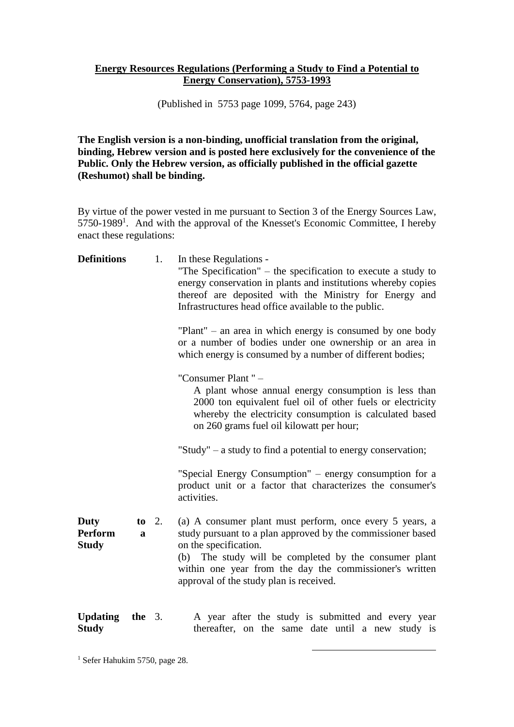## **Energy Resources Regulations (Performing a Study to Find a Potential to Energy Conservation), 5753-1993**

(Published in 5753 page 1099, 5764, page 243)

**The English version is a non-binding, unofficial translation from the original, binding, Hebrew version and is posted here exclusively for the convenience of the Public. Only the Hebrew version, as officially published in the official gazette (Reshumot) shall be binding.**

By virtue of the power vested in me pursuant to Section 3 of the Energy Sources Law, 5750-1989<sup>1</sup>. And with the approval of the Knesset's Economic Committee, I hereby enact these regulations:

| <b>Definitions</b>              |          | 1. | In these Regulations -<br>"The Specification" – the specification to execute a study to<br>energy conservation in plants and institutions whereby copies<br>thereof are deposited with the Ministry for Energy and<br>Infrastructures head office available to the public.                                      |
|---------------------------------|----------|----|-----------------------------------------------------------------------------------------------------------------------------------------------------------------------------------------------------------------------------------------------------------------------------------------------------------------|
|                                 |          |    | $"Plant" - an area in which energy is consumed by one body$<br>or a number of bodies under one ownership or an area in<br>which energy is consumed by a number of different bodies;                                                                                                                             |
|                                 |          |    | "Consumer Plant" -<br>A plant whose annual energy consumption is less than<br>2000 ton equivalent fuel oil of other fuels or electricity<br>whereby the electricity consumption is calculated based<br>on 260 grams fuel oil kilowatt per hour;                                                                 |
|                                 |          |    | "Study" $-$ a study to find a potential to energy conservation;                                                                                                                                                                                                                                                 |
|                                 |          |    | "Special Energy Consumption" – energy consumption for a<br>product unit or a factor that characterizes the consumer's<br>activities.                                                                                                                                                                            |
| Duty<br>Perform<br><b>Study</b> | to<br>a  | 2. | (a) A consumer plant must perform, once every 5 years, a<br>study pursuant to a plan approved by the commissioner based<br>on the specification.<br>(b) The study will be completed by the consumer plant<br>within one year from the day the commissioner's written<br>approval of the study plan is received. |
| <b>Updating</b><br><b>Study</b> | the $3.$ |    | A year after the study is submitted and every year<br>thereafter, on the same date until a new study is                                                                                                                                                                                                         |

1